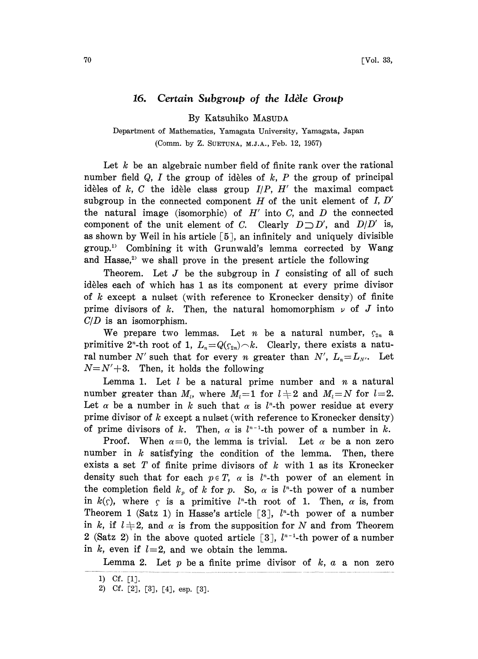## 16. Certain Subgroup of the Idèle Group

By Katsuhiko MASUDA

Department of Mathematics, Yamagata University, Yamagata, Japan (Comm. by Z. SUETUNA, M.J.A., Feb. 12, 1957)

Let  $k$  be an algebraic number field of finite rank over the rational number field  $Q$ , I the group of idèles of  $k$ , P the group of principal idèles of  $k$ ,  $C$  the idèle class group  $I/P$ ,  $H'$  the maximal compact subgroup in the connected component H of the unit element of  $I, D'$ the natural image (isomorphic) of  $H'$  into C, and D the connected component of the unit element of C. Clearly  $D \supset D'$ , and  $D/D'$  is, as shown by Weil in his article  $[5]$ , an infinitely and uniquely divisible group.) Combining it with Grunwald's lemma corrected by Wang and Hasse,<sup>2</sup> we shall prove in the present article the following

Theorem. Let  $J$  be the subgroup in  $I$  consisting of all of such idèles each of which has 1 as its component at every prime divisor of  $k$  except a nulset (with reference to Kronecker density) of finite prime divisors of k. Then, the natural homomorphism  $\nu$  of J into  $C/D$  is an isomorphism.

We prepare two lemmas. Let *n* be a natural number,  $\zeta_{2n}$  a primitive 2<sup>n</sup>-th root of 1,  $L_n=Q(\zeta_{2n})\sim k$ . Clearly, there exists a natural number N' such that for every n greater than N',  $L_n = L_{N}$ . Let  $N=N'+3$ . Then, it holds the following

Lemma 1. Let  $l$  be a natural prime number and  $n$  a natural number greater than  $M_l$ , where  $M_l=1$  for  $l\neq 2$  and  $M_l=N$  for  $l=2$ . Let  $\alpha$  be a number in k such that  $\alpha$  is l<sup>n</sup>-th power residue at every prime divisor of  $k$  except a nulset (with reference to Kronecker density) of prime divisors of k. Then,  $\alpha$  is  $l^{n-1}$ -th power of a number in k.

Proof. When  $\alpha=0$ , the lemma is trivial. Let  $\alpha$  be a non zero number in  $k$  satisfying the condition of the lemma. Then, there exists a set T of finite prime divisors of  $k$  with 1 as its Kronecker density such that for each  $p \in T$ ,  $\alpha$  is  $l^{n}$ -th power of an element in the completion field  $k_p$  of k for p. So,  $\alpha$  is  $l^n$ -th power of a number in  $k(\zeta)$ , where  $\zeta$  is a primitive  $l^2$ -th root of 1. Then,  $\alpha$  is, from  $\zeta$  is a primitive  $l^n$ -th root of 1. Then,  $\alpha$  is, from<br>  $\zeta$  1) in Hasse's article [3],  $l^n$ -th power of a number<br>  $\log \alpha$  is from the supposition for N and from Theorem Theorem 1 (Satz 1) in Hasse's article  $[3]$ ,  $l^*$ -th power of a number in k, if  $l+2$ , and  $\alpha$  is from the supposition for N and from Theorem 2 (Satz 2) in the above quoted article [3],  $l^{n-1}$ -th power of a number in  $k$ , even if  $l=2$ , and we obtain the lemma.

Lemma 2. Let  $p$  be a finite prime divisor of  $k, a$  a non zero

<sup>1)</sup> Cf. [1].

<sup>2)</sup> Cf. [2], [3], [4], esp. [3].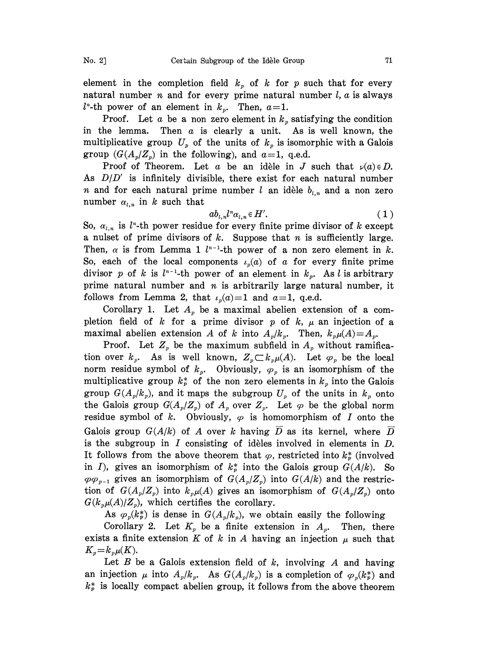element in the completion field  $k_p$  of k for p such that for every natural number  $n$  and for every prime natural number  $l, a$  is always  $l^*$ -th power of an element in  $k_p$ . Then,  $a=1$ .

Proof. Let a be a non zero element in  $k<sub>p</sub>$  satisfying the condition in the lemma. Then  $a$  is clearly a unit. As is well known, the multiplicative group  $U_p$  of the units of  $k_p$  is isomorphic with a Galois group  $(G(A_p/Z_p))$  in the following), and  $a=1$ , q.e.d.

Proof of Theorem. Let a be an idèle in J such that  $\nu(a) \in D$ . As  $D/D'$  is infinitely divisible, there exist for each natural number *n* and for each natural prime number l an idèle  $b_{i,n}$  and a non zero number  $\alpha_{l,n}$  in k such that

$$
ab_{l,n}l^n\alpha_{l,n}\in H'.
$$
 (1)

So,  $\alpha_{l,n}$  is  $l^{n}$ -th power residue for every finite prime divisor of k except a nulset of prime divisors of  $k$ . Suppose that  $n$  is sufficiently large. Then,  $\alpha$  is from Lemma 1  $l^{n-1}$ -th power of a non zero element in k. So, each of the local components  $\iota_n(a)$  of a for every finite prime divisor p of k is  $l^{n-1}$ -th power of an element in  $k_p$ . As l is arbitrary prime natural number and  $n$  is arbitrarily large natural number, it follows from Lemma 2, that  $\iota_p(a)=1$  and  $a=1$ , q.e.d.

Corollary 1. Let  $A_p$  be a maximal abelien extension of a completion field of k for a prime divisor p of k,  $\mu$  an injection of a maximal abelien extension A of k into  $A_p/k_p$ . Then,  $k_p\mu(A)=A_p$ .

Proof. Let  $Z_p$  be the maximum subfield in  $A_p$  without ramification over  $k_p$ . As is well known,  $Z_p \subset k_p \mu(A)$ . Let  $\varphi_p$  be the local norm residue symbol of  $k_p$ . Obviously,  $\varphi_p$  is an isomorphism of the multiplicative group  $k_p^*$  of the non zero elements in  $k_p$  into the Galois group  $G(A_p/k_p)$ , and it maps the subgroup  $U_p$  of the units in  $k_p$  onto the Galois group  $G(A_p/Z_p)$  of  $A_p$  over  $Z_p$ . Let  $\varphi$  be the global norm residue symbol of k. Obviously,  $\varphi$  is homomorphism of I onto the Galois group  $G(A/k)$  of A over k having  $\overline{D}$  as its kernel, where  $\overline{D}$ is the subgroup in  $I$  consisting of idèles involved in elements in  $D$ . It follows from the above theorem that  $\varphi$ , restricted into  $k_{\nu}^{*}$  (involved in I), gives an isomorphism of  $k_p^*$  into the Galois group  $G(A/k)$ . So  $\varphi \varphi_{p-1}$  gives an isomorphism of  $G(A_p/Z_p)$  into  $G(A/k)$  and the restriction of  $G(A_p/Z_p)$  into  $k_p\mu(A)$  gives an isomorphism of  $G(A_p/Z_p)$  onto  $G(k_p\mu(A)/Z_p)$ , which certifies the corollary.

As  $\varphi_p(k_p^*)$  is dense in  $G(A_p/k_p)$ , we obtain easily the following

Corollary 2. Let  $K_p$  be a finite extension in  $A_p$ . Then, there exists a finite extension K of k in A having an injection  $\mu$  such that  $K_p = k_p \mu(K)$ .

Let  $B$  be a Galois extension field of  $k$ , involving  $A$  and having an injection  $\mu$  into  $A_p/k_p$ . As  $G(A_p/k_p)$  is a completion of  $\varphi_p(k_p^*)$  and  $k_p^*$  is locally compact abelien group, it follows from the above theorem